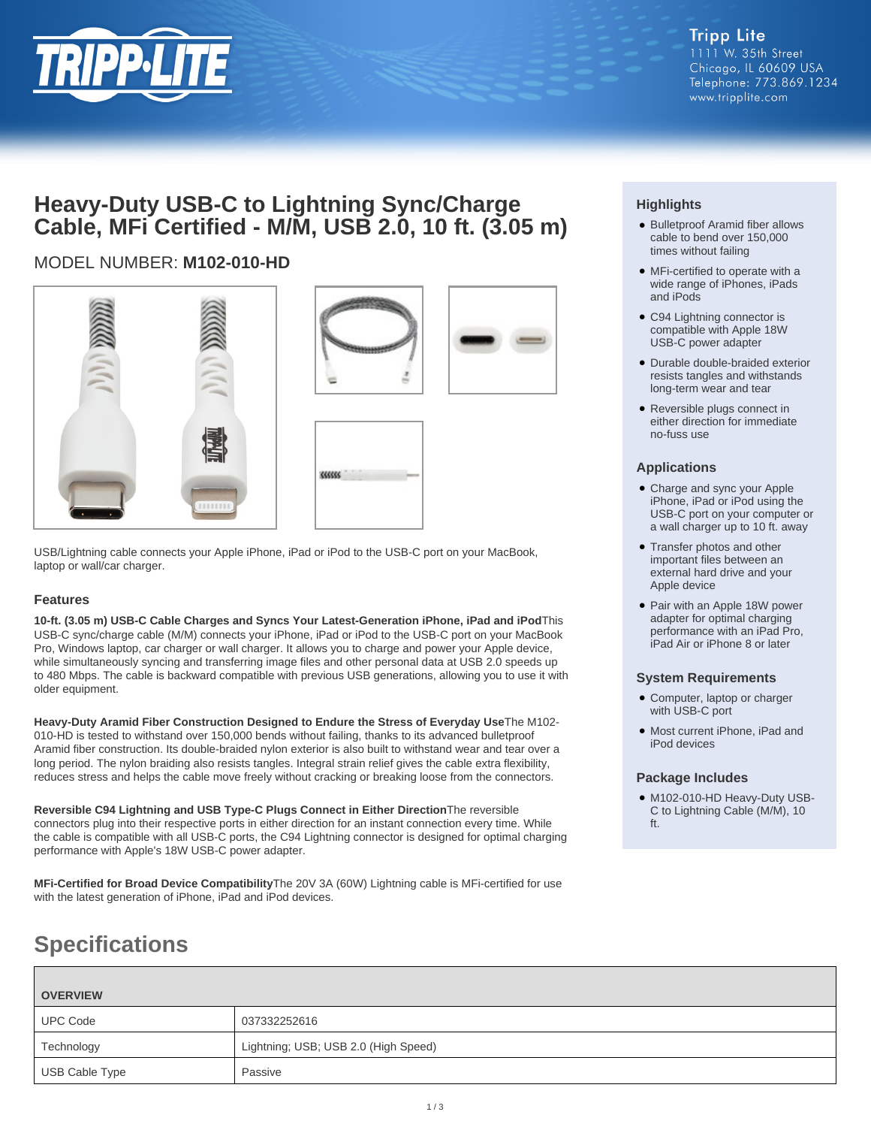

## **Heavy-Duty USB-C to Lightning Sync/Charge Cable, MFi Certified - M/M, USB 2.0, 10 ft. (3.05 m)**

## MODEL NUMBER: **M102-010-HD**



USB/Lightning cable connects your Apple iPhone, iPad or iPod to the USB-C port on your MacBook, laptop or wall/car charger.

#### **Features**

**10-ft. (3.05 m) USB-C Cable Charges and Syncs Your Latest-Generation iPhone, iPad and iPod**This USB-C sync/charge cable (M/M) connects your iPhone, iPad or iPod to the USB-C port on your MacBook Pro, Windows laptop, car charger or wall charger. It allows you to charge and power your Apple device, while simultaneously syncing and transferring image files and other personal data at USB 2.0 speeds up to 480 Mbps. The cable is backward compatible with previous USB generations, allowing you to use it with older equipment.

**Heavy-Duty Aramid Fiber Construction Designed to Endure the Stress of Everyday Use**The M102- 010-HD is tested to withstand over 150,000 bends without failing, thanks to its advanced bulletproof Aramid fiber construction. Its double-braided nylon exterior is also built to withstand wear and tear over a long period. The nylon braiding also resists tangles. Integral strain relief gives the cable extra flexibility, reduces stress and helps the cable move freely without cracking or breaking loose from the connectors.

**Reversible C94 Lightning and USB Type-C Plugs Connect in Either Direction**The reversible connectors plug into their respective ports in either direction for an instant connection every time. While the cable is compatible with all USB-C ports, the C94 Lightning connector is designed for optimal charging performance with Apple's 18W USB-C power adapter.

**MFi-Certified for Broad Device Compatibility**The 20V 3A (60W) Lightning cable is MFi-certified for use with the latest generation of iPhone, iPad and iPod devices.

### **Highlights**

- Bulletproof Aramid fiber allows cable to bend over 150,000 times without failing
- MFi-certified to operate with a wide range of iPhones, iPads and iPods
- C94 Lightning connector is compatible with Apple 18W USB-C power adapter
- Durable double-braided exterior resists tangles and withstands long-term wear and tear
- Reversible plugs connect in either direction for immediate no-fuss use

#### **Applications**

- Charge and sync your Apple iPhone, iPad or iPod using the USB-C port on your computer or a wall charger up to 10 ft. away
- Transfer photos and other important files between an external hard drive and your Apple device
- Pair with an Apple 18W power adapter for optimal charging performance with an iPad Pro, iPad Air or iPhone 8 or later

#### **System Requirements**

- Computer, laptop or charger with USB-C port
- Most current iPhone, iPad and iPod devices

#### **Package Includes**

● M102-010-HD Heavy-Duty USB-C to Lightning Cable (M/M), 10 ft.

# **Specifications**

| <b>OVERVIEW</b> |                                      |
|-----------------|--------------------------------------|
| <b>UPC Code</b> | 037332252616                         |
| Technology      | Lightning; USB; USB 2.0 (High Speed) |
| USB Cable Type  | Passive                              |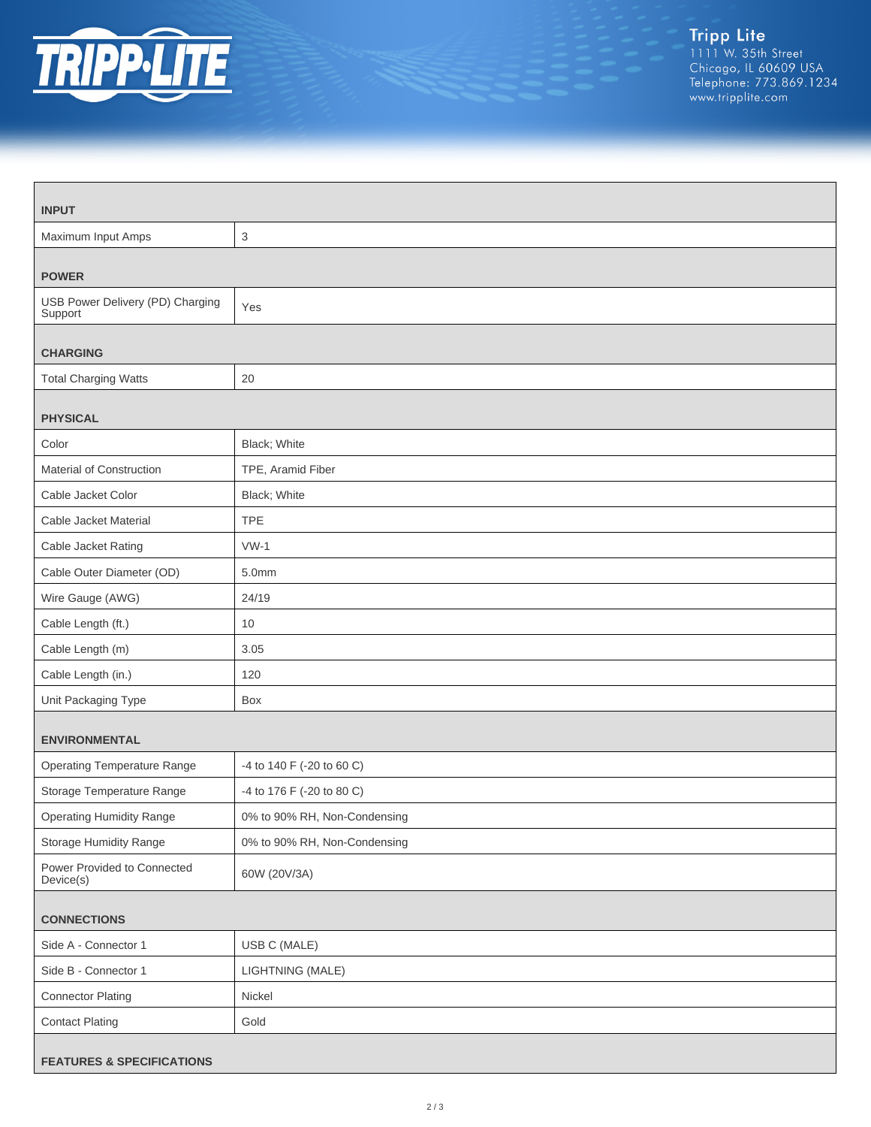

| <b>INPUT</b>                                |                              |  |
|---------------------------------------------|------------------------------|--|
| Maximum Input Amps                          | 3                            |  |
| <b>POWER</b>                                |                              |  |
| USB Power Delivery (PD) Charging<br>Support | Yes                          |  |
| <b>CHARGING</b>                             |                              |  |
| <b>Total Charging Watts</b>                 | 20                           |  |
| <b>PHYSICAL</b>                             |                              |  |
| Color                                       | Black; White                 |  |
| Material of Construction                    | TPE, Aramid Fiber            |  |
| Cable Jacket Color                          | Black; White                 |  |
| Cable Jacket Material                       | <b>TPE</b>                   |  |
| Cable Jacket Rating                         | $VW-1$                       |  |
| Cable Outer Diameter (OD)                   | 5.0mm                        |  |
| Wire Gauge (AWG)                            | 24/19                        |  |
| Cable Length (ft.)                          | 10                           |  |
| Cable Length (m)                            | 3.05                         |  |
| Cable Length (in.)                          | 120                          |  |
| Unit Packaging Type                         | Box                          |  |
| <b>ENVIRONMENTAL</b>                        |                              |  |
| <b>Operating Temperature Range</b>          | -4 to 140 F (-20 to 60 C)    |  |
| Storage Temperature Range                   | -4 to 176 F (-20 to 80 C)    |  |
| <b>Operating Humidity Range</b>             | 0% to 90% RH, Non-Condensing |  |
| Storage Humidity Range                      | 0% to 90% RH, Non-Condensing |  |
| Power Provided to Connected<br>Device(s)    | 60W (20V/3A)                 |  |
| <b>CONNECTIONS</b>                          |                              |  |
| Side A - Connector 1                        | USB C (MALE)                 |  |
| Side B - Connector 1                        | LIGHTNING (MALE)             |  |
| <b>Connector Plating</b>                    | Nickel                       |  |
| <b>Contact Plating</b>                      | Gold                         |  |
| <b>FEATURES &amp; SPECIFICATIONS</b>        |                              |  |